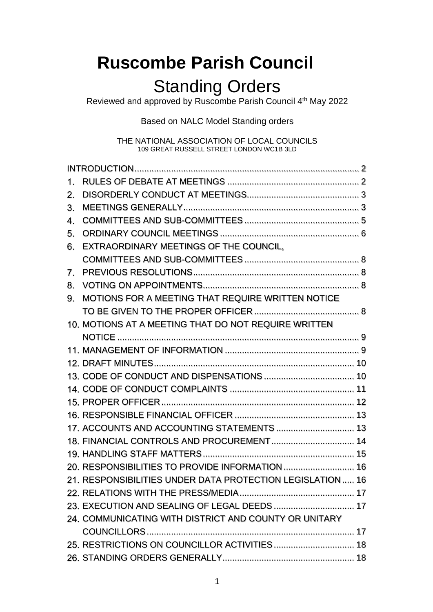# **Ruscombe Parish Council**

# Standing Orders

Reviewed and approved by Ruscombe Parish Council 4<sup>th</sup> May 2022

Based on NALC Model Standing orders

THE NATIONAL ASSOCIATION OF LOCAL COUNCILS 109 GREAT RUSSELL STREET LONDON WC1B 3LD

| 1. |                                                            |  |
|----|------------------------------------------------------------|--|
| 2. |                                                            |  |
| 3. |                                                            |  |
| 4. |                                                            |  |
| 5. |                                                            |  |
| 6. | EXTRAORDINARY MEETINGS OF THE COUNCIL.                     |  |
|    |                                                            |  |
| 7. |                                                            |  |
| 8. |                                                            |  |
| 9. | MOTIONS FOR A MEETING THAT REQUIRE WRITTEN NOTICE          |  |
|    |                                                            |  |
|    | 10. MOTIONS AT A MEETING THAT DO NOT REQUIRE WRITTEN       |  |
|    |                                                            |  |
|    |                                                            |  |
|    |                                                            |  |
|    |                                                            |  |
|    |                                                            |  |
|    |                                                            |  |
|    |                                                            |  |
|    | 17. ACCOUNTS AND ACCOUNTING STATEMENTS 13                  |  |
|    |                                                            |  |
|    |                                                            |  |
|    | 20. RESPONSIBILITIES TO PROVIDE INFORMATION  16            |  |
|    | 21. RESPONSIBILITIES UNDER DATA PROTECTION LEGISLATION  16 |  |
|    |                                                            |  |
|    |                                                            |  |
|    | 24. COMMUNICATING WITH DISTRICT AND COUNTY OR UNITARY      |  |
|    |                                                            |  |
|    |                                                            |  |
|    |                                                            |  |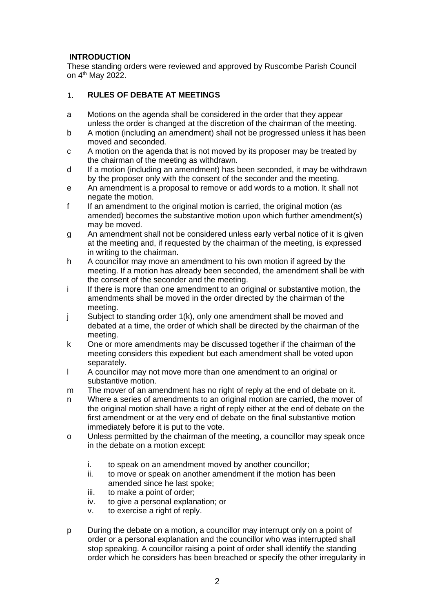# <span id="page-1-0"></span>**INTRODUCTION**

These standing orders were reviewed and approved by Ruscombe Parish Council on 4<sup>th</sup> May 2022.

#### <span id="page-1-1"></span>**RULES OF DEBATE AT MEETINGS**  $1<sub>1</sub>$

- a Motions on the agenda shall be considered in the order that they appear unless the order is changed at the discretion of the chairman of the meeting.
- b A motion (including an amendment) shall not be progressed unless it has been moved and seconded.
- c A motion on the agenda that is not moved by its proposer may be treated by the chairman of the meeting as withdrawn.
- d If a motion (including an amendment) has been seconded, it may be withdrawn by the proposer only with the consent of the seconder and the meeting.
- e An amendment is a proposal to remove or add words to a motion. It shall not negate the motion.
- f If an amendment to the original motion is carried, the original motion (as amended) becomes the substantive motion upon which further amendment(s) may be moved.
- g An amendment shall not be considered unless early verbal notice of it is given at the meeting and, if requested by the chairman of the meeting, is expressed in writing to the chairman.
- h A councillor may move an amendment to his own motion if agreed by the meeting. If a motion has already been seconded, the amendment shall be with the consent of the seconder and the meeting.
- i If there is more than one amendment to an original or substantive motion, the amendments shall be moved in the order directed by the chairman of the meeting.
- j Subject to standing order 1(k), only one amendment shall be moved and debated at a time, the order of which shall be directed by the chairman of the meeting.
- k One or more amendments may be discussed together if the chairman of the meeting considers this expedient but each amendment shall be voted upon separately.
- l A councillor may not move more than one amendment to an original or substantive motion.
- m The mover of an amendment has no right of reply at the end of debate on it.
- n Where a series of amendments to an original motion are carried, the mover of the original motion shall have a right of reply either at the end of debate on the first amendment or at the very end of debate on the final substantive motion immediately before it is put to the vote.
- o Unless permitted by the chairman of the meeting, a councillor may speak once in the debate on a motion except:
	- i. to speak on an amendment moved by another councillor;
	- ii. to move or speak on another amendment if the motion has been amended since he last spoke;
	- iii. to make a point of order;
	- iv. to give a personal explanation; or
	- v. to exercise a right of reply.
- p During the debate on a motion, a councillor may interrupt only on a point of order or a personal explanation and the councillor who was interrupted shall stop speaking. A councillor raising a point of order shall identify the standing order which he considers has been breached or specify the other irregularity in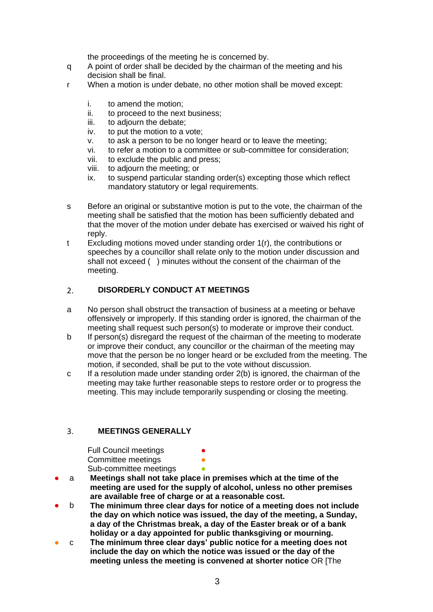the proceedings of the meeting he is concerned by.

- q A point of order shall be decided by the chairman of the meeting and his decision shall be final.
- r When a motion is under debate, no other motion shall be moved except:
	- i. to amend the motion;
	- ii. to proceed to the next business;
	- iii. to adjourn the debate;
	- iv. to put the motion to a vote;
	- v. to ask a person to be no longer heard or to leave the meeting;
	- vi. to refer a motion to a committee or sub-committee for consideration;
	- vii. to exclude the public and press;
	- viii. to adjourn the meeting; or
	- ix. to suspend particular standing order(s) excepting those which reflect mandatory statutory or legal requirements.
- s Before an original or substantive motion is put to the vote, the chairman of the meeting shall be satisfied that the motion has been sufficiently debated and that the mover of the motion under debate has exercised or waived his right of reply.
- t Excluding motions moved under standing order 1(r), the contributions or speeches by a councillor shall relate only to the motion under discussion and shall not exceed ( ) minutes without the consent of the chairman of the meeting.

#### <span id="page-2-0"></span> $2<sup>1</sup>$ **DISORDERLY CONDUCT AT MEETINGS**

- a No person shall obstruct the transaction of business at a meeting or behave offensively or improperly. If this standing order is ignored, the chairman of the meeting shall request such person(s) to moderate or improve their conduct.
- b If person(s) disregard the request of the chairman of the meeting to moderate or improve their conduct, any councillor or the chairman of the meeting may move that the person be no longer heard or be excluded from the meeting. The motion, if seconded, shall be put to the vote without discussion.
- c If a resolution made under standing order 2(b) is ignored, the chairman of the meeting may take further reasonable steps to restore order or to progress the meeting. This may include temporarily suspending or closing the meeting.

#### <span id="page-2-1"></span> $3.$ **MEETINGS GENERALLY**

**Full Council meetings** Committee meetings Sub-committee meetings

- a **Meetings shall not take place in premises which at the time of the meeting are used for the supply of alcohol, unless no other premises are available free of charge or at a reasonable cost.**
- b **The minimum three clear days for notice of a meeting does not include the day on which notice was issued, the day of the meeting, a Sunday, a day of the Christmas break, a day of the Easter break or of a bank holiday or a day appointed for public thanksgiving or mourning.**
- c **The minimum three clear days' public notice for a meeting does not include the day on which the notice was issued or the day of the meeting unless the meeting is convened at shorter notice** OR [The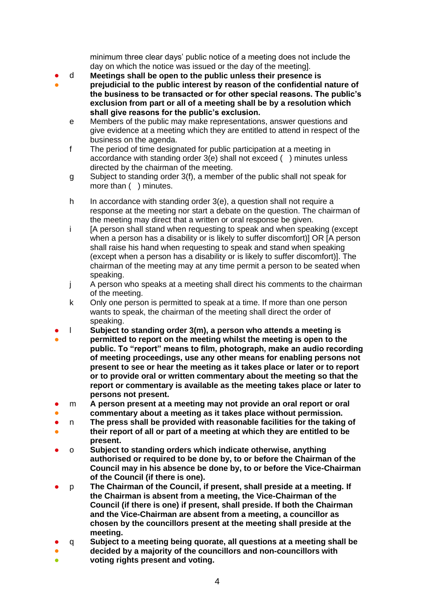minimum three clear days' public notice of a meeting does not include the day on which the notice was issued or the day of the meeting].

- d **Meetings shall be open to the public unless their presence is**
- **prejudicial to the public interest by reason of the confidential nature of the business to be transacted or for other special reasons. The public's exclusion from part or all of a meeting shall be by a resolution which shall give reasons for the public's exclusion.**
	- e Members of the public may make representations, answer questions and give evidence at a meeting which they are entitled to attend in respect of the business on the agenda.
	- f The period of time designated for public participation at a meeting in accordance with standing order 3(e) shall not exceed ( ) minutes unless directed by the chairman of the meeting.
	- g Subject to standing order 3(f), a member of the public shall not speak for more than ( ) minutes.
	- h In accordance with standing order 3(e), a question shall not require a response at the meeting nor start a debate on the question. The chairman of the meeting may direct that a written or oral response be given.
	- i [A person shall stand when requesting to speak and when speaking (except when a person has a disability or is likely to suffer discomfort)] OR [A person shall raise his hand when requesting to speak and stand when speaking (except when a person has a disability or is likely to suffer discomfort)]. The chairman of the meeting may at any time permit a person to be seated when speaking.
	- j A person who speaks at a meeting shall direct his comments to the chairman of the meeting.
	- k Only one person is permitted to speak at a time. If more than one person wants to speak, the chairman of the meeting shall direct the order of speaking.
- l **Subject to standing order 3(m), a person who attends a meeting is**
- **permitted to report on the meeting whilst the meeting is open to the public. To "report" means to film, photograph, make an audio recording of meeting proceedings, use any other means for enabling persons not present to see or hear the meeting as it takes place or later or to report or to provide oral or written commentary about the meeting so that the report or commentary is available as the meeting takes place or later to persons not present.**
- m **A person present at a meeting may not provide an oral report or oral**
- **commentary about a meeting as it takes place without permission.**
- n **The press shall be provided with reasonable facilities for the taking of**
- **their report of all or part of a meeting at which they are entitled to be present.**
- o **Subject to standing orders which indicate otherwise, anything authorised or required to be done by, to or before the Chairman of the Council may in his absence be done by, to or before the Vice-Chairman of the Council (if there is one).**
- p **The Chairman of the Council, if present, shall preside at a meeting. If the Chairman is absent from a meeting, the Vice-Chairman of the Council (if there is one) if present, shall preside. If both the Chairman and the Vice-Chairman are absent from a meeting, a councillor as chosen by the councillors present at the meeting shall preside at the meeting.**
- q **Subject to a meeting being quorate, all questions at a meeting shall be**
- **decided by a majority of the councillors and non-councillors with voting rights present and voting.**
- ●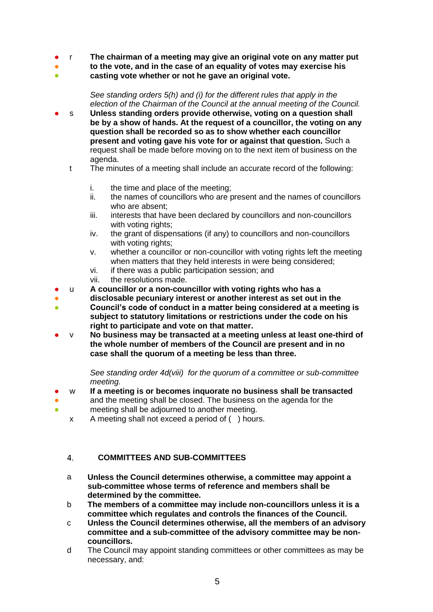- r **The chairman of a meeting may give an original vote on any matter put**
- **to the vote, and in the case of an equality of votes may exercise his**
- **casting vote whether or not he gave an original vote.**

*See standing orders 5(h) and (i) for the different rules that apply in the election of the Chairman of the Council at the annual meeting of the Council.*

- s Unless standing orders provide otherwise, voting on a question shall **be by a show of hands. At the request of a councillor, the voting on any question shall be recorded so as to show whether each councillor present and voting gave his vote for or against that question.** Such a request shall be made before moving on to the next item of business on the agenda.
	- t The minutes of a meeting shall include an accurate record of the following:
		- i. the time and place of the meeting;
		- ii. the names of councillors who are present and the names of councillors who are absent;
		- iii. interests that have been declared by councillors and non-councillors with voting rights:
		- iv. the grant of dispensations (if any) to councillors and non-councillors with voting rights;
		- v. whether a councillor or non-councillor with voting rights left the meeting when matters that they held interests in were being considered;
		- vi. if there was a public participation session; and
		- vii. the resolutions made.
- u **A councillor or a non-councillor with voting rights who has a**
- ● **disclosable pecuniary interest or another interest as set out in the Council's code of conduct in a matter being considered at a meeting is subject to statutory limitations or restrictions under the code on his right to participate and vote on that matter.**
- v **No business may be transacted at a meeting unless at least one-third of the whole number of members of the Council are present and in no case shall the quorum of a meeting be less than three.**

*See standing order 4d(viii) for the quorum of a committee or sub-committee meeting.* 

- w **If a meeting is or becomes inquorate no business shall be transacted**
- ● and the meeting shall be closed. The business on the agenda for the meeting shall be adjourned to another meeting.
	- x A meeting shall not exceed a period of ( ) hours.

#### <span id="page-4-0"></span> $\overline{4}$ . **COMMITTEES AND SUB-COMMITTEES**

- a **Unless the Council determines otherwise, a committee may appoint a sub-committee whose terms of reference and members shall be determined by the committee.**
- b **The members of a committee may include non-councillors unless it is a committee which regulates and controls the finances of the Council.**
- c **Unless the Council determines otherwise, all the members of an advisory committee and a sub-committee of the advisory committee may be noncouncillors.**
- d The Council may appoint standing committees or other committees as may be necessary, and: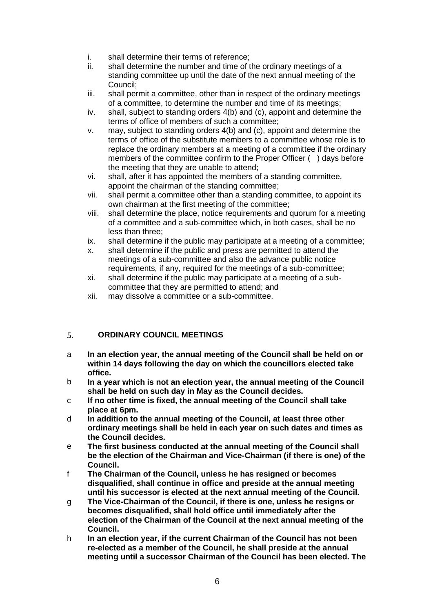- i. shall determine their terms of reference;
- ii. shall determine the number and time of the ordinary meetings of a standing committee up until the date of the next annual meeting of the Council;
- iii. shall permit a committee, other than in respect of the ordinary meetings of a committee, to determine the number and time of its meetings;
- iv. shall, subject to standing orders 4(b) and (c), appoint and determine the terms of office of members of such a committee;
- v. may, subject to standing orders 4(b) and (c), appoint and determine the terms of office of the substitute members to a committee whose role is to replace the ordinary members at a meeting of a committee if the ordinary members of the committee confirm to the Proper Officer ( ) days before the meeting that they are unable to attend;
- vi. shall, after it has appointed the members of a standing committee, appoint the chairman of the standing committee;
- vii. shall permit a committee other than a standing committee, to appoint its own chairman at the first meeting of the committee;
- viii. shall determine the place, notice requirements and quorum for a meeting of a committee and a sub-committee which, in both cases, shall be no less than three;
- ix. shall determine if the public may participate at a meeting of a committee;
- x. shall determine if the public and press are permitted to attend the meetings of a sub-committee and also the advance public notice requirements, if any, required for the meetings of a sub-committee;
- xi. shall determine if the public may participate at a meeting of a subcommittee that they are permitted to attend; and
- xii. may dissolve a committee or a sub-committee.

#### <span id="page-5-0"></span>5. **ORDINARY COUNCIL MEETINGS**

- a **In an election year, the annual meeting of the Council shall be held on or within 14 days following the day on which the councillors elected take office.**
- b **In a year which is not an election year, the annual meeting of the Council shall be held on such day in May as the Council decides.**
- c **If no other time is fixed, the annual meeting of the Council shall take place at 6pm.**
- d **In addition to the annual meeting of the Council, at least three other ordinary meetings shall be held in each year on such dates and times as the Council decides.**
- e **The first business conducted at the annual meeting of the Council shall be the election of the Chairman and Vice-Chairman (if there is one) of the Council.**
- f **The Chairman of the Council, unless he has resigned or becomes disqualified, shall continue in office and preside at the annual meeting until his successor is elected at the next annual meeting of the Council.**
- g **The Vice-Chairman of the Council, if there is one, unless he resigns or becomes disqualified, shall hold office until immediately after the election of the Chairman of the Council at the next annual meeting of the Council.**
- h **In an election year, if the current Chairman of the Council has not been re-elected as a member of the Council, he shall preside at the annual meeting until a successor Chairman of the Council has been elected. The**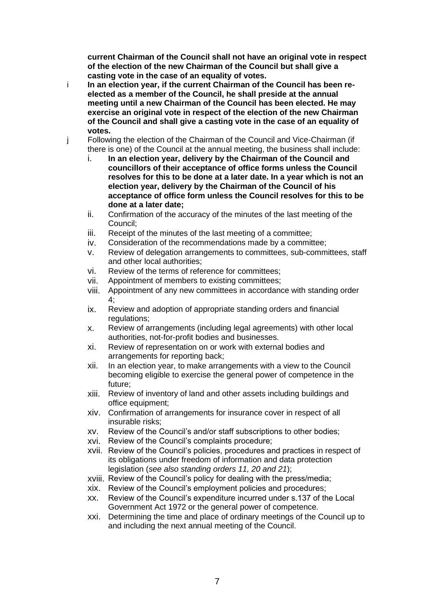**current Chairman of the Council shall not have an original vote in respect of the election of the new Chairman of the Council but shall give a casting vote in the case of an equality of votes.**

- i **In an election year, if the current Chairman of the Council has been reelected as a member of the Council, he shall preside at the annual meeting until a new Chairman of the Council has been elected. He may exercise an original vote in respect of the election of the new Chairman of the Council and shall give a casting vote in the case of an equality of votes.**
- j Following the election of the Chairman of the Council and Vice-Chairman (if there is one) of the Council at the annual meeting, the business shall include:
	- i. **In an election year, delivery by the Chairman of the Council and councillors of their acceptance of office forms unless the Council resolves for this to be done at a later date. In a year which is not an election year, delivery by the Chairman of the Council of his acceptance of office form unless the Council resolves for this to be done at a later date;**
	- ii. Confirmation of the accuracy of the minutes of the last meeting of the Council;
	- iii. Receipt of the minutes of the last meeting of a committee;
	- iv. Consideration of the recommendations made by a committee;
	- v. Review of delegation arrangements to committees, sub-committees, staff and other local authorities;
	- vi. Review of the terms of reference for committees;
	- vii. Appointment of members to existing committees;
	- viii. Appointment of any new committees in accordance with standing order  $4<sup>°</sup>$
	- ix. Review and adoption of appropriate standing orders and financial regulations:
	- x. Review of arrangements (including legal agreements) with other local authorities, not-for-profit bodies and businesses.
	- xi. Review of representation on or work with external bodies and arrangements for reporting back;
	- xii. In an election year, to make arrangements with a view to the Council becoming eligible to exercise the general power of competence in the future;
	- xiii. Review of inventory of land and other assets including buildings and office equipment;
	- xiv. Confirmation of arrangements for insurance cover in respect of all insurable risks;
	- xv. Review of the Council's and/or staff subscriptions to other bodies;
	- xvi. Review of the Council's complaints procedure;
	- xvii. Review of the Council's policies, procedures and practices in respect of its obligations under freedom of information and data protection legislation (*see also standing orders 11, 20 and 21*);
	- xviii. Review of the Council's policy for dealing with the press/media;
	- xix. Review of the Council's employment policies and procedures;
	- xx. Review of the Council's expenditure incurred under s.137 of the Local Government Act 1972 or the general power of competence.
	- xxi. Determining the time and place of ordinary meetings of the Council up to and including the next annual meeting of the Council.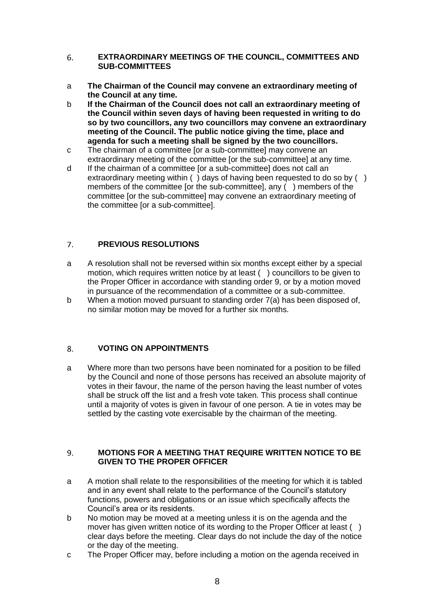## <span id="page-7-0"></span>6. **EXTRAORDINARY MEETINGS OF THE COUNCIL, COMMITTEES AND SUB-COMMITTEES**

- a **The Chairman of the Council may convene an extraordinary meeting of the Council at any time.**
- b **If the Chairman of the Council does not call an extraordinary meeting of the Council within seven days of having been requested in writing to do so by two councillors, any two councillors may convene an extraordinary meeting of the Council. The public notice giving the time, place and agenda for such a meeting shall be signed by the two councillors.**
- c The chairman of a committee [or a sub-committee] may convene an extraordinary meeting of the committee [or the sub-committee] at any time.
- d If the chairman of a committee [or a sub-committee] does not call an extraordinary meeting within () days of having been requested to do so by () members of the committee [or the sub-committee], any ( ) members of the committee [or the sub-committee] may convene an extraordinary meeting of the committee [or a sub-committee].

#### <span id="page-7-1"></span> $\overline{7}$ . **PREVIOUS RESOLUTIONS**

- a A resolution shall not be reversed within six months except either by a special motion, which requires written notice by at least ( ) councillors to be given to the Proper Officer in accordance with standing order 9, or by a motion moved in pursuance of the recommendation of a committee or a sub-committee.
- b When a motion moved pursuant to standing order 7(a) has been disposed of, no similar motion may be moved for a further six months.

#### <span id="page-7-2"></span>8. **VOTING ON APPOINTMENTS**

a Where more than two persons have been nominated for a position to be filled by the Council and none of those persons has received an absolute majority of votes in their favour, the name of the person having the least number of votes shall be struck off the list and a fresh vote taken. This process shall continue until a majority of votes is given in favour of one person. A tie in votes may be settled by the casting vote exercisable by the chairman of the meeting.

## <span id="page-7-3"></span> $\mathbf{q}$ **MOTIONS FOR A MEETING THAT REQUIRE WRITTEN NOTICE TO BE GIVEN TO THE PROPER OFFICER**

- a A motion shall relate to the responsibilities of the meeting for which it is tabled and in any event shall relate to the performance of the Council's statutory functions, powers and obligations or an issue which specifically affects the Council's area or its residents.
- b No motion may be moved at a meeting unless it is on the agenda and the mover has given written notice of its wording to the Proper Officer at least () clear days before the meeting. Clear days do not include the day of the notice or the day of the meeting.
- c The Proper Officer may, before including a motion on the agenda received in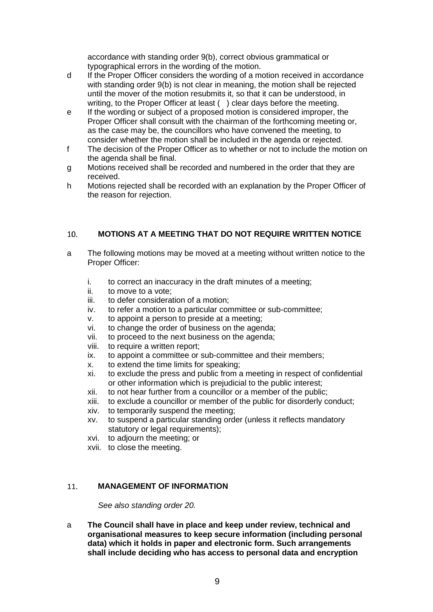accordance with standing order 9(b), correct obvious grammatical or typographical errors in the wording of the motion.

- d If the Proper Officer considers the wording of a motion received in accordance with standing order 9(b) is not clear in meaning, the motion shall be rejected until the mover of the motion resubmits it, so that it can be understood, in writing, to the Proper Officer at least () clear days before the meeting.
- e If the wording or subject of a proposed motion is considered improper, the Proper Officer shall consult with the chairman of the forthcoming meeting or, as the case may be, the councillors who have convened the meeting, to consider whether the motion shall be included in the agenda or rejected.
- f The decision of the Proper Officer as to whether or not to include the motion on the agenda shall be final.
- g Motions received shall be recorded and numbered in the order that they are received.
- h Motions rejected shall be recorded with an explanation by the Proper Officer of the reason for rejection.

#### <span id="page-8-0"></span> $10.$ **MOTIONS AT A MEETING THAT DO NOT REQUIRE WRITTEN NOTICE**

- a The following motions may be moved at a meeting without written notice to the Proper Officer:
	- i. to correct an inaccuracy in the draft minutes of a meeting;
	- ii. to move to a vote;
	- iii. to defer consideration of a motion;
	- iv. to refer a motion to a particular committee or sub-committee;
	- v. to appoint a person to preside at a meeting;
	- vi. to change the order of business on the agenda;
	- vii. to proceed to the next business on the agenda;
	- viii. to require a written report;
	- ix. to appoint a committee or sub-committee and their members;
	- x. to extend the time limits for speaking;
	- xi. to exclude the press and public from a meeting in respect of confidential or other information which is prejudicial to the public interest;
	- xii. to not hear further from a councillor or a member of the public;
	- xiii. to exclude a councillor or member of the public for disorderly conduct;
	- xiv. to temporarily suspend the meeting;
	- xv. to suspend a particular standing order (unless it reflects mandatory statutory or legal requirements):
	- xvi. to adjourn the meeting; or
	- xvii. to close the meeting.

#### <span id="page-8-1"></span>**MANAGEMENT OF INFORMATION**  11.

*See also standing order 20.*

a **The Council shall have in place and keep under review, technical and organisational measures to keep secure information (including personal data) which it holds in paper and electronic form. Such arrangements shall include deciding who has access to personal data and encryption**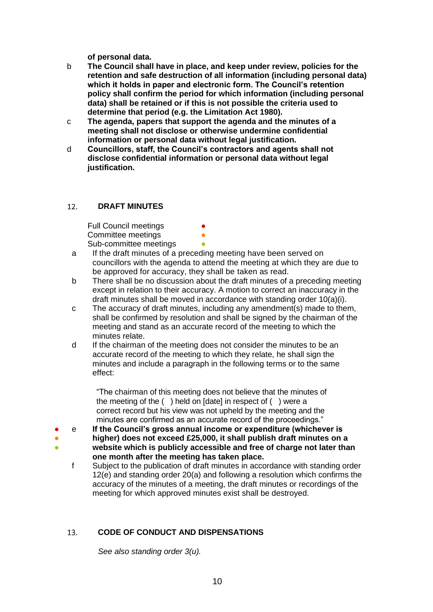**of personal data.** 

- b **The Council shall have in place, and keep under review, policies for the retention and safe destruction of all information (including personal data) which it holds in paper and electronic form. The Council's retention policy shall confirm the period for which information (including personal data) shall be retained or if this is not possible the criteria used to determine that period (e.g. the Limitation Act 1980).**
- c **The agenda, papers that support the agenda and the minutes of a meeting shall not disclose or otherwise undermine confidential information or personal data without legal justification.**
- d **Councillors, staff, the Council's contractors and agents shall not disclose confidential information or personal data without legal justification.**

#### <span id="page-9-0"></span> $12<sub>1</sub>$ **DRAFT MINUTES**

● ● ● **Full Council meetings** Committee meetings Sub-committee meetings

- a If the draft minutes of a preceding meeting have been served on councillors with the agenda to attend the meeting at which they are due to be approved for accuracy, they shall be taken as read.
- b There shall be no discussion about the draft minutes of a preceding meeting except in relation to their accuracy. A motion to correct an inaccuracy in the draft minutes shall be moved in accordance with standing order 10(a)(i).
- c The accuracy of draft minutes, including any amendment(s) made to them, shall be confirmed by resolution and shall be signed by the chairman of the meeting and stand as an accurate record of the meeting to which the minutes relate.
- d If the chairman of the meeting does not consider the minutes to be an accurate record of the meeting to which they relate, he shall sign the minutes and include a paragraph in the following terms or to the same effect:

"The chairman of this meeting does not believe that the minutes of the meeting of the ( ) held on [date] in respect of ( ) were a correct record but his view was not upheld by the meeting and the minutes are confirmed as an accurate record of the proceedings."

- e **If the Council's gross annual income or expenditure (whichever is**
- **higher) does not exceed £25,000, it shall publish draft minutes on a**
- **website which is publicly accessible and free of charge not later than one month after the meeting has taken place.**
- f Subject to the publication of draft minutes in accordance with standing order 12(e) and standing order 20(a) and following a resolution which confirms the accuracy of the minutes of a meeting, the draft minutes or recordings of the meeting for which approved minutes exist shall be destroyed.

#### <span id="page-9-1"></span> $13.$ **CODE OF CONDUCT AND DISPENSATIONS**

*See also standing order 3(u).*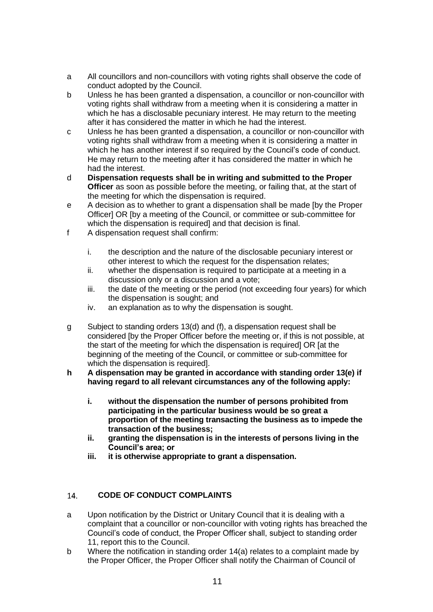- a All councillors and non-councillors with voting rights shall observe the code of conduct adopted by the Council.
- b Unless he has been granted a dispensation, a councillor or non-councillor with voting rights shall withdraw from a meeting when it is considering a matter in which he has a disclosable pecuniary interest. He may return to the meeting after it has considered the matter in which he had the interest.
- c Unless he has been granted a dispensation, a councillor or non-councillor with voting rights shall withdraw from a meeting when it is considering a matter in which he has another interest if so required by the Council's code of conduct. He may return to the meeting after it has considered the matter in which he had the interest.
- d **Dispensation requests shall be in writing and submitted to the Proper Officer** as soon as possible before the meeting, or failing that, at the start of the meeting for which the dispensation is required.
- e A decision as to whether to grant a dispensation shall be made [by the Proper Officer] OR [by a meeting of the Council, or committee or sub-committee for which the dispensation is required] and that decision is final.
- f A dispensation request shall confirm:
	- i. the description and the nature of the disclosable pecuniary interest or other interest to which the request for the dispensation relates;
	- ii. whether the dispensation is required to participate at a meeting in a discussion only or a discussion and a vote;
	- iii. the date of the meeting or the period (not exceeding four years) for which the dispensation is sought; and
	- iv. an explanation as to why the dispensation is sought.
- g Subject to standing orders 13(d) and (f), a dispensation request shall be considered [by the Proper Officer before the meeting or, if this is not possible, at the start of the meeting for which the dispensation is required] OR [at the beginning of the meeting of the Council, or committee or sub-committee for which the dispensation is required.
- **h A dispensation may be granted in accordance with standing order 13(e) if having regard to all relevant circumstances any of the following apply:**
	- **i. without the dispensation the number of persons prohibited from participating in the particular business would be so great a proportion of the meeting transacting the business as to impede the transaction of the business;**
	- **ii. granting the dispensation is in the interests of persons living in the Council's area; or**
	- **iii. it is otherwise appropriate to grant a dispensation.**

#### <span id="page-10-0"></span>**CODE OF CONDUCT COMPLAINTS**  14.

- a Upon notification by the District or Unitary Council that it is dealing with a complaint that a councillor or non-councillor with voting rights has breached the Council's code of conduct, the Proper Officer shall, subject to standing order 11, report this to the Council.
- b Where the notification in standing order 14(a) relates to a complaint made by the Proper Officer, the Proper Officer shall notify the Chairman of Council of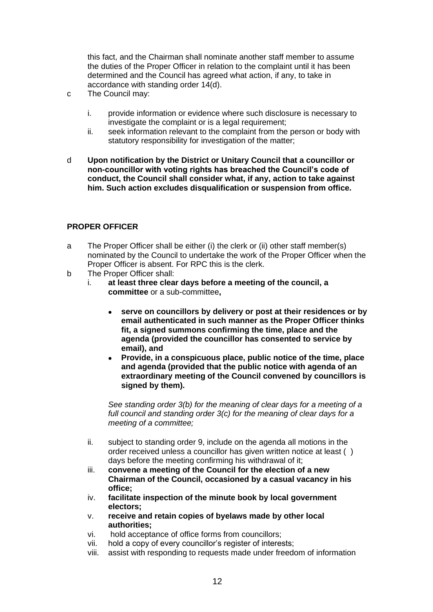this fact, and the Chairman shall nominate another staff member to assume the duties of the Proper Officer in relation to the complaint until it has been determined and the Council has agreed what action, if any, to take in accordance with standing order 14(d).

- c The Council may:
	- i. provide information or evidence where such disclosure is necessary to investigate the complaint or is a legal requirement;
	- ii. seek information relevant to the complaint from the person or body with statutory responsibility for investigation of the matter;
- d **Upon notification by the District or Unitary Council that a councillor or non-councillor with voting rights has breached the Council's code of conduct, the Council shall consider what, if any, action to take against him. Such action excludes disqualification or suspension from office.**

## <span id="page-11-0"></span>**PROPER OFFICER**

- a The Proper Officer shall be either (i) the clerk or (ii) other staff member(s) nominated by the Council to undertake the work of the Proper Officer when the Proper Officer is absent. For RPC this is the clerk.
- b The Proper Officer shall:
	- i. **at least three clear days before a meeting of the council, a committee** or a sub-committee**,**
		- **serve on councillors by delivery or post at their residences or by email authenticated in such manner as the Proper Officer thinks fit, a signed summons confirming the time, place and the agenda (provided the councillor has consented to service by email), and**
		- **Provide, in a conspicuous place, public notice of the time, place and agenda (provided that the public notice with agenda of an extraordinary meeting of the Council convened by councillors is signed by them).**

*See standing order 3(b) for the meaning of clear days for a meeting of a full council and standing order 3(c) for the meaning of clear days for a meeting of a committee;*

- ii. subject to standing order 9, include on the agenda all motions in the order received unless a councillor has given written notice at least ( ) days before the meeting confirming his withdrawal of it;
- iii. **convene a meeting of the Council for the election of a new Chairman of the Council, occasioned by a casual vacancy in his office;**
- iv. **facilitate inspection of the minute book by local government electors;**
- v. **receive and retain copies of byelaws made by other local authorities;**
- vi. hold acceptance of office forms from councillors;
- vii. hold a copy of every councillor's register of interests;
- viii. assist with responding to requests made under freedom of information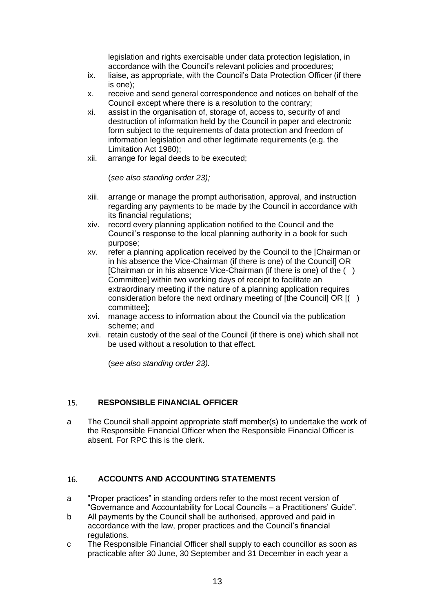legislation and rights exercisable under data protection legislation, in accordance with the Council's relevant policies and procedures;

- ix. liaise, as appropriate, with the Council's Data Protection Officer (if there is one);
- x. receive and send general correspondence and notices on behalf of the Council except where there is a resolution to the contrary;
- xi. assist in the organisation of, storage of, access to, security of and destruction of information held by the Council in paper and electronic form subject to the requirements of data protection and freedom of information legislation and other legitimate requirements (e.g. the Limitation Act 1980);
- xii. arrange for legal deeds to be executed;

(*see also standing order 23);*

- xiii. arrange or manage the prompt authorisation, approval, and instruction regarding any payments to be made by the Council in accordance with its financial regulations;
- xiv. record every planning application notified to the Council and the Council's response to the local planning authority in a book for such purpose;
- xv. refer a planning application received by the Council to the [Chairman or in his absence the Vice-Chairman (if there is one) of the Council] OR [Chairman or in his absence Vice-Chairman (if there is one) of the ( ) Committee] within two working days of receipt to facilitate an extraordinary meeting if the nature of a planning application requires consideration before the next ordinary meeting of [the Council] OR [( ) committee];
- xvi. manage access to information about the Council via the publication scheme; and
- xvii. retain custody of the seal of the Council (if there is one) which shall not be used without a resolution to that effect.

(s*ee also standing order 23).*

#### <span id="page-12-0"></span> $15.$ **RESPONSIBLE FINANCIAL OFFICER**

a The Council shall appoint appropriate staff member(s) to undertake the work of the Responsible Financial Officer when the Responsible Financial Officer is absent. For RPC this is the clerk.

#### <span id="page-12-1"></span>16. **ACCOUNTS AND ACCOUNTING STATEMENTS**

- a "Proper practices" in standing orders refer to the most recent version of "Governance and Accountability for Local Councils – a Practitioners' Guide".
- b All payments by the Council shall be authorised, approved and paid in accordance with the law, proper practices and the Council's financial regulations.
- c The Responsible Financial Officer shall supply to each councillor as soon as practicable after 30 June, 30 September and 31 December in each year a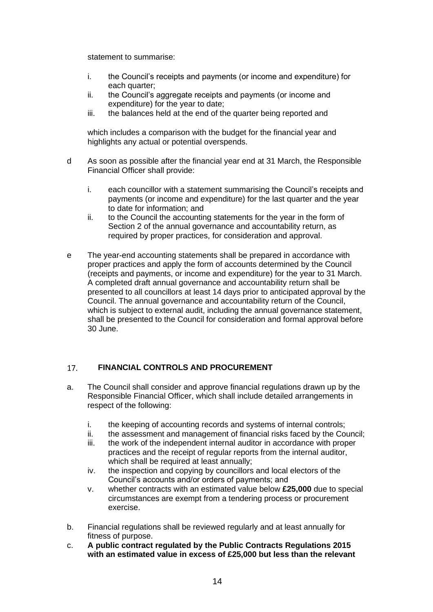statement to summarise:

- i. the Council's receipts and payments (or income and expenditure) for each quarter:
- ii. the Council's aggregate receipts and payments (or income and expenditure) for the year to date;
- iii. the balances held at the end of the quarter being reported and

which includes a comparison with the budget for the financial year and highlights any actual or potential overspends.

- d As soon as possible after the financial year end at 31 March, the Responsible Financial Officer shall provide:
	- i. each councillor with a statement summarising the Council's receipts and payments (or income and expenditure) for the last quarter and the year to date for information; and
	- ii. to the Council the accounting statements for the year in the form of Section 2 of the annual governance and accountability return, as required by proper practices, for consideration and approval.
- e The year-end accounting statements shall be prepared in accordance with proper practices and apply the form of accounts determined by the Council (receipts and payments, or income and expenditure) for the year to 31 March. A completed draft annual governance and accountability return shall be presented to all councillors at least 14 days prior to anticipated approval by the Council. The annual governance and accountability return of the Council, which is subject to external audit, including the annual governance statement, shall be presented to the Council for consideration and formal approval before 30 June.

#### <span id="page-13-0"></span> $17<sub>1</sub>$ **FINANCIAL CONTROLS AND PROCUREMENT**

- a. The Council shall consider and approve financial regulations drawn up by the Responsible Financial Officer, which shall include detailed arrangements in respect of the following:
	- i. the keeping of accounting records and systems of internal controls;
	- ii. the assessment and management of financial risks faced by the Council;
	- iii. the work of the independent internal auditor in accordance with proper practices and the receipt of regular reports from the internal auditor, which shall be required at least annually;
	- iv. the inspection and copying by councillors and local electors of the Council's accounts and/or orders of payments; and
	- v. whether contracts with an estimated value below **£25,000** due to special circumstances are exempt from a tendering process or procurement exercise.
- b. Financial regulations shall be reviewed regularly and at least annually for fitness of purpose.
- c. **A public contract regulated by the Public Contracts Regulations 2015 with an estimated value in excess of £25,000 but less than the relevant**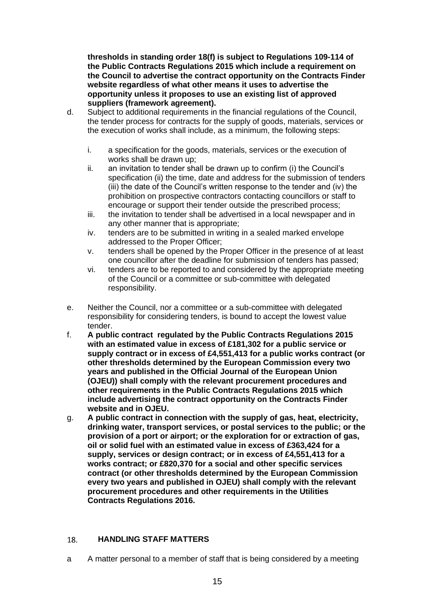**thresholds in standing order 18(f) is subject to Regulations 109-114 of the Public Contracts Regulations 2015 which include a requirement on the Council to advertise the contract opportunity on the Contracts Finder website regardless of what other means it uses to advertise the opportunity unless it proposes to use an existing list of approved suppliers (framework agreement).**

- d. Subject to additional requirements in the financial regulations of the Council, the tender process for contracts for the supply of goods, materials, services or the execution of works shall include, as a minimum, the following steps:
	- i. a specification for the goods, materials, services or the execution of works shall be drawn up;
	- ii. an invitation to tender shall be drawn up to confirm (i) the Council's specification (ii) the time, date and address for the submission of tenders (iii) the date of the Council's written response to the tender and (iv) the prohibition on prospective contractors contacting councillors or staff to encourage or support their tender outside the prescribed process;
	- iii. the invitation to tender shall be advertised in a local newspaper and in any other manner that is appropriate;
	- iv. tenders are to be submitted in writing in a sealed marked envelope addressed to the Proper Officer;
	- v. tenders shall be opened by the Proper Officer in the presence of at least one councillor after the deadline for submission of tenders has passed;
	- vi. tenders are to be reported to and considered by the appropriate meeting of the Council or a committee or sub-committee with delegated responsibility.
- e. Neither the Council, nor a committee or a sub-committee with delegated responsibility for considering tenders, is bound to accept the lowest value tender.
- f. **A public contract regulated by the Public Contracts Regulations 2015 with an estimated value in excess of £181,302 for a public service or supply contract or in excess of £4,551,413 for a public works contract (or other thresholds determined by the European Commission every two years and published in the Official Journal of the European Union (OJEU)) shall comply with the relevant procurement procedures and other requirements in the Public Contracts Regulations 2015 which include advertising the contract opportunity on the Contracts Finder website and in OJEU.**
- g. **A public contract in connection with the supply of gas, heat, electricity, drinking water, transport services, or postal services to the public; or the provision of a port or airport; or the exploration for or extraction of gas, oil or solid fuel with an estimated value in excess of £363,424 for a supply, services or design contract; or in excess of £4,551,413 for a works contract; or £820,370 for a social and other specific services contract (or other thresholds determined by the European Commission every two years and published in OJEU) shall comply with the relevant procurement procedures and other requirements in the Utilities Contracts Regulations 2016.**

#### <span id="page-14-0"></span>**HANDLING STAFF MATTERS** 18.

a A matter personal to a member of staff that is being considered by a meeting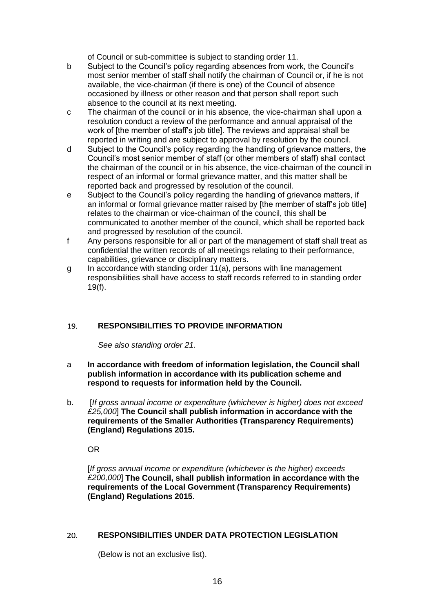of Council or sub-committee is subject to standing order 11.

- b Subject to the Council's policy regarding absences from work, the Council's most senior member of staff shall notify the chairman of Council or, if he is not available, the vice-chairman (if there is one) of the Council of absence occasioned by illness or other reason and that person shall report such absence to the council at its next meeting.
- c The chairman of the council or in his absence, the vice-chairman shall upon a resolution conduct a review of the performance and annual appraisal of the work of [the member of staff's job title]. The reviews and appraisal shall be reported in writing and are subject to approval by resolution by the council.
- d Subject to the Council's policy regarding the handling of grievance matters, the Council's most senior member of staff (or other members of staff) shall contact the chairman of the council or in his absence, the vice-chairman of the council in respect of an informal or formal grievance matter, and this matter shall be reported back and progressed by resolution of the council.
- e Subject to the Council's policy regarding the handling of grievance matters, if an informal or formal grievance matter raised by [the member of staff's job title] relates to the chairman or vice-chairman of the council, this shall be communicated to another member of the council, which shall be reported back and progressed by resolution of the council.
- f Any persons responsible for all or part of the management of staff shall treat as confidential the written records of all meetings relating to their performance, capabilities, grievance or disciplinary matters.
- g In accordance with standing order 11(a), persons with line management responsibilities shall have access to staff records referred to in standing order 19(f).

#### <span id="page-15-0"></span>19. **RESPONSIBILITIES TO PROVIDE INFORMATION**

*See also standing order 21.*

- a **In accordance with freedom of information legislation, the Council shall publish information in accordance with its publication scheme and respond to requests for information held by the Council.**
- b. [*If gross annual income or expenditure (whichever is higher) does not exceed £25,000*] **The Council shall publish information in accordance with the requirements of the Smaller Authorities (Transparency Requirements) (England) Regulations 2015.**

OR

[*If gross annual income or expenditure (whichever is the higher) exceeds £200,000*] **The Council, shall publish information in accordance with the requirements of the Local Government (Transparency Requirements) (England) Regulations 2015**.

#### <span id="page-15-1"></span>**RESPONSIBILITIES UNDER DATA PROTECTION LEGISLATION**   $20.$

(Below is not an exclusive list).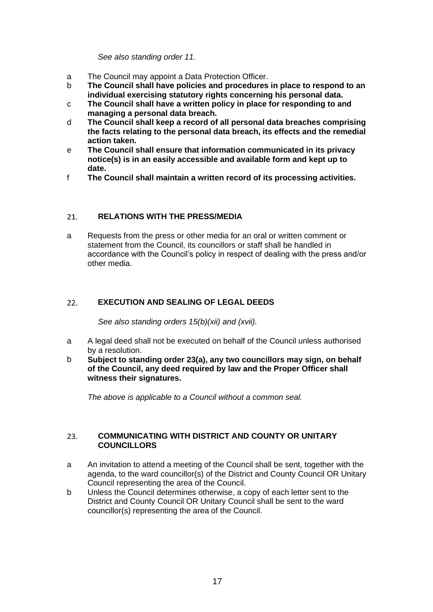*See also standing order 11.*

- a The Council may appoint a Data Protection Officer.
- b **The Council shall have policies and procedures in place to respond to an individual exercising statutory rights concerning his personal data.**
- c **The Council shall have a written policy in place for responding to and managing a personal data breach.**
- d **The Council shall keep a record of all personal data breaches comprising the facts relating to the personal data breach, its effects and the remedial action taken.**
- e **The Council shall ensure that information communicated in its privacy notice(s) is in an easily accessible and available form and kept up to date.**
- f **The Council shall maintain a written record of its processing activities.**

#### <span id="page-16-0"></span>**RELATIONS WITH THE PRESS/MEDIA**  $21.$

a Requests from the press or other media for an oral or written comment or statement from the Council, its councillors or staff shall be handled in accordance with the Council's policy in respect of dealing with the press and/or other media.

#### <span id="page-16-1"></span>22. **EXECUTION AND SEALING OF LEGAL DEEDS**

*See also standing orders 15(b)(xii) and (xvii).*

- a A legal deed shall not be executed on behalf of the Council unless authorised by a resolution.
- b **Subject to standing order 23(a), any two councillors may sign, on behalf of the Council, any deed required by law and the Proper Officer shall witness their signatures.**

<span id="page-16-2"></span>*The above is applicable to a Council without a common seal.*

## **COMMUNICATING WITH DISTRICT AND COUNTY OR UNITARY**  23. **COUNCILLORS**

- a An invitation to attend a meeting of the Council shall be sent, together with the agenda, to the ward councillor(s) of the District and County Council OR Unitary Council representing the area of the Council.
- b Unless the Council determines otherwise, a copy of each letter sent to the District and County Council OR Unitary Council shall be sent to the ward councillor(s) representing the area of the Council.